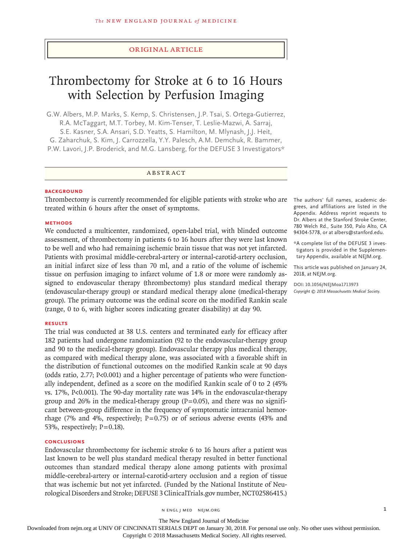#### Original Article

# Thrombectomy for Stroke at 6 to 16 Hours with Selection by Perfusion Imaging

G.W. Albers, M.P. Marks, S. Kemp, S. Christensen, J.P. Tsai, S. Ortega-Gutierrez, R.A. McTaggart, M.T. Torbey, M. Kim-Tenser, T. Leslie-Mazwi, A. Sarraj, S.E. Kasner, S.A. Ansari, S.D. Yeatts, S. Hamilton, M. Mlynash, J.J. Heit, G. Zaharchuk, S. Kim, J. Carrozzella, Y.Y. Palesch, A.M. Demchuk, R. Bammer, P.W. Lavori, J.P. Broderick, and M.G. Lansberg, for the DEFUSE 3 Investigators\*

#### ABSTRACT

#### **BACKGROUND**

Thrombectomy is currently recommended for eligible patients with stroke who are The authors' full names, academic detreated within 6 hours after the onset of symptoms.

#### **METHODS**

We conducted a multicenter, randomized, open-label trial, with blinded outcome assessment, of thrombectomy in patients 6 to 16 hours after they were last known to be well and who had remaining ischemic brain tissue that was not yet infarcted. Patients with proximal middle-cerebral-artery or internal-carotid-artery occlusion, an initial infarct size of less than 70 ml, and a ratio of the volume of ischemic tissue on perfusion imaging to infarct volume of 1.8 or more were randomly assigned to endovascular therapy (thrombectomy) plus standard medical therapy (endovascular-therapy group) or standard medical therapy alone (medical-therapy group). The primary outcome was the ordinal score on the modified Rankin scale (range, 0 to 6, with higher scores indicating greater disability) at day 90.

#### **RESULTS**

The trial was conducted at 38 U.S. centers and terminated early for efficacy after 182 patients had undergone randomization (92 to the endovascular-therapy group and 90 to the medical-therapy group). Endovascular therapy plus medical therapy, as compared with medical therapy alone, was associated with a favorable shift in the distribution of functional outcomes on the modified Rankin scale at 90 days (odds ratio, 2.77; P<0.001) and a higher percentage of patients who were functionally independent, defined as a score on the modified Rankin scale of 0 to 2 (45% vs. 17%, P<0.001). The 90-day mortality rate was 14% in the endovascular-therapy group and 26% in the medical-therapy group  $(P=0.05)$ , and there was no significant between-group difference in the frequency of symptomatic intracranial hemorrhage (7% and 4%, respectively;  $P=0.75$ ) or of serious adverse events (43% and 53%, respectively;  $P=0.18$ ).

#### **CONCLUSIONS**

Endovascular thrombectomy for ischemic stroke 6 to 16 hours after a patient was last known to be well plus standard medical therapy resulted in better functional outcomes than standard medical therapy alone among patients with proximal middle-cerebral-artery or internal-carotid-artery occlusion and a region of tissue that was ischemic but not yet infarcted. (Funded by the National Institute of Neurological Disorders and Stroke; DEFUSE 3 ClinicalTrials.gov number, NCT02586415.)

grees, and affiliations are listed in the Appendix. Address reprint requests to Dr. Albers at the Stanford Stroke Center, 780 Welch Rd., Suite 350, Palo Alto, CA 94304-5778, or at albers@stanford.edu.

\*A complete list of the DEFUSE 3 investigators is provided in the Supplementary Appendix, available at NEJM.org.

This article was published on January 24, 2018, at NEJM.org.

**DOI: 10.1056/NEJMoa1713973** *Copyright © 2018 Massachusetts Medical Society.*

n engl j med nejm.org 1

The New England Journal of Medicine Downloaded from nejm.org at UNIV OF CINCINNATI SERIALS DEPT on January 30, 2018. For personal use only. No other uses without permission.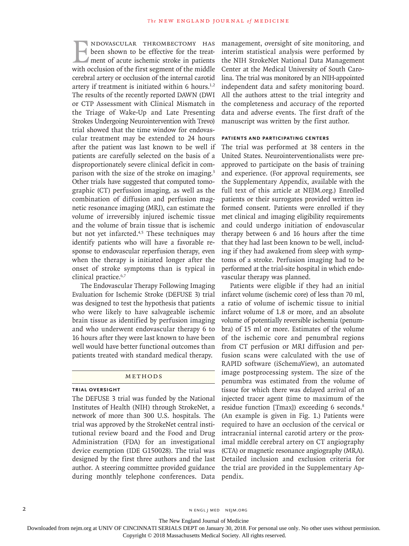NDOVASCULAR THROMBECTOMY HAS<br>been shown to be effective for the treat-<br>ment of acute ischemic stroke in patients<br>with occlusion of the first segment of the middle been shown to be effective for the treatment of acute ischemic stroke in patients with occlusion of the first segment of the middle cerebral artery or occlusion of the internal carotid artery if treatment is initiated within 6 hours.<sup>1,2</sup> The results of the recently reported DAWN (DWI or CTP Assessment with Clinical Mismatch in the Triage of Wake-Up and Late Presenting Strokes Undergoing Neurointervention with Trevo) trial showed that the time window for endovascular treatment may be extended to 24 hours after the patient was last known to be well if patients are carefully selected on the basis of a disproportionately severe clinical deficit in comparison with the size of the stroke on imaging.<sup>3</sup> Other trials have suggested that computed tomographic (CT) perfusion imaging, as well as the combination of diffusion and perfusion magnetic resonance imaging (MRI), can estimate the volume of irreversibly injured ischemic tissue and the volume of brain tissue that is ischemic but not yet infarcted.<sup>4,5</sup> These techniques may identify patients who will have a favorable response to endovascular reperfusion therapy, even when the therapy is initiated longer after the onset of stroke symptoms than is typical in clinical practice.<sup>6,7</sup>

The Endovascular Therapy Following Imaging Evaluation for Ischemic Stroke (DEFUSE 3) trial was designed to test the hypothesis that patients who were likely to have salvageable ischemic brain tissue as identified by perfusion imaging and who underwent endovascular therapy 6 to 16 hours after they were last known to have been well would have better functional outcomes than patients treated with standard medical therapy.

#### Methods

#### **Trial Oversight**

The DEFUSE 3 trial was funded by the National Institutes of Health (NIH) through StrokeNet, a network of more than 300 U.S. hospitals. The trial was approved by the StrokeNet central institutional review board and the Food and Drug Administration (FDA) for an investigational device exemption (IDE G150028). The trial was designed by the first three authors and the last author. A steering committee provided guidance during monthly telephone conferences. Data management, oversight of site monitoring, and interim statistical analysis were performed by the NIH StrokeNet National Data Management Center at the Medical University of South Carolina. The trial was monitored by an NIH-appointed independent data and safety monitoring board. All the authors attest to the trial integrity and the completeness and accuracy of the reported data and adverse events. The first draft of the manuscript was written by the first author.

#### **Patients and Participating Centers**

The trial was performed at 38 centers in the United States. Neurointerventionalists were preapproved to participate on the basis of training and experience. (For approval requirements, see the Supplementary Appendix, available with the full text of this article at NEJM.org.) Enrolled patients or their surrogates provided written informed consent. Patients were enrolled if they met clinical and imaging eligibility requirements and could undergo initiation of endovascular therapy between 6 and 16 hours after the time that they had last been known to be well, including if they had awakened from sleep with symptoms of a stroke. Perfusion imaging had to be performed at the trial-site hospital in which endovascular therapy was planned.

Patients were eligible if they had an initial infarct volume (ischemic core) of less than 70 ml, a ratio of volume of ischemic tissue to initial infarct volume of 1.8 or more, and an absolute volume of potentially reversible ischemia (penumbra) of 15 ml or more. Estimates of the volume of the ischemic core and penumbral regions from CT perfusion or MRI diffusion and perfusion scans were calculated with the use of RAPID software (iSchemaView), an automated image postprocessing system. The size of the penumbra was estimated from the volume of tissue for which there was delayed arrival of an injected tracer agent (time to maximum of the residue function [Tmax]) exceeding 6 seconds.<sup>8</sup> (An example is given in Fig. 1.) Patients were required to have an occlusion of the cervical or intracranial internal carotid artery or the proximal middle cerebral artery on CT angiography (CTA) or magnetic resonance angiography (MRA). Detailed inclusion and exclusion criteria for the trial are provided in the Supplementary Appendix.

2 N ENGL J MED NEJM.ORG

The New England Journal of Medicine

Downloaded from nejm.org at UNIV OF CINCINNATI SERIALS DEPT on January 30, 2018. For personal use only. No other uses without permission.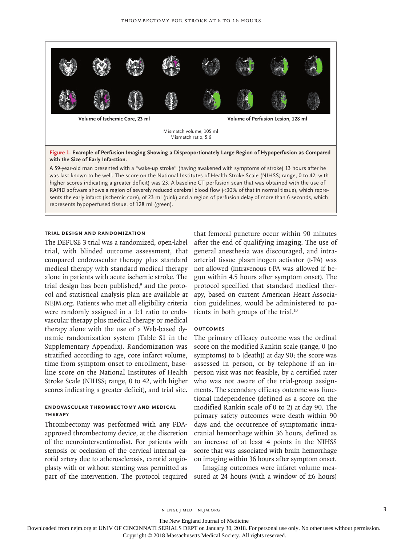

RAPID software shows a region of severely reduced cerebral blood flow (<30% of that in normal tissue), which represents the early infarct (ischemic core), of 23 ml (pink) and a region of perfusion delay of more than 6 seconds, which represents hypoperfused tissue, of 128 ml (green).

#### **Trial Design and Randomization**

The DEFUSE 3 trial was a randomized, open-label trial, with blinded outcome assessment, that compared endovascular therapy plus standard medical therapy with standard medical therapy alone in patients with acute ischemic stroke. The trial design has been published,<sup>9</sup> and the protocol and statistical analysis plan are available at NEJM.org. Patients who met all eligibility criteria were randomly assigned in a 1:1 ratio to endovascular therapy plus medical therapy or medical therapy alone with the use of a Web-based dynamic randomization system (Table S1 in the Supplementary Appendix). Randomization was stratified according to age, core infarct volume, time from symptom onset to enrollment, baseline score on the National Institutes of Health Stroke Scale (NIHSS; range, 0 to 42, with higher scores indicating a greater deficit), and trial site.

### **Endovascular Thrombectomy and Medical Therapy**

Thrombectomy was performed with any FDAapproved thrombectomy device, at the discretion of the neurointerventionalist. For patients with stenosis or occlusion of the cervical internal carotid artery due to atherosclerosis, carotid angioplasty with or without stenting was permitted as part of the intervention. The protocol required

that femoral puncture occur within 90 minutes after the end of qualifying imaging. The use of general anesthesia was discouraged, and intraarterial tissue plasminogen activator (t-PA) was not allowed (intravenous t-PA was allowed if begun within 4.5 hours after symptom onset). The protocol specified that standard medical therapy, based on current American Heart Association guidelines, would be administered to patients in both groups of the trial.<sup>10</sup>

#### **Outcomes**

The primary efficacy outcome was the ordinal score on the modified Rankin scale (range, 0 [no symptoms] to 6 [death]) at day 90; the score was assessed in person, or by telephone if an inperson visit was not feasible, by a certified rater who was not aware of the trial-group assignments. The secondary efficacy outcome was functional independence (defined as a score on the modified Rankin scale of 0 to 2) at day 90. The primary safety outcomes were death within 90 days and the occurrence of symptomatic intracranial hemorrhage within 36 hours, defined as an increase of at least 4 points in the NIHSS score that was associated with brain hemorrhage on imaging within 36 hours after symptom onset.

Imaging outcomes were infarct volume measured at 24 hours (with a window of  $\pm$ 6 hours)

n engl j med nejm.org 3

The New England Journal of Medicine

Downloaded from nejm.org at UNIV OF CINCINNATI SERIALS DEPT on January 30, 2018. For personal use only. No other uses without permission.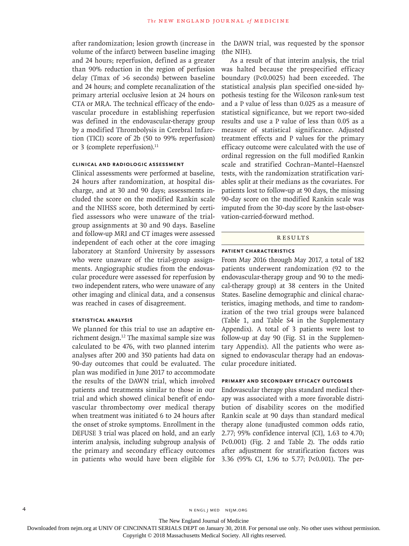after randomization; lesion growth (increase in volume of the infarct) between baseline imaging and 24 hours; reperfusion, defined as a greater than 90% reduction in the region of perfusion delay (Tmax of >6 seconds) between baseline and 24 hours; and complete recanalization of the primary arterial occlusive lesion at 24 hours on CTA or MRA. The technical efficacy of the endovascular procedure in establishing reperfusion was defined in the endovascular-therapy group by a modified Thrombolysis in Cerebral Infarction (TICI) score of 2b (50 to 99% reperfusion) or 3 (complete reperfusion).<sup>11</sup>

#### **Clinical and Radiologic Assessment**

Clinical assessments were performed at baseline, 24 hours after randomization, at hospital discharge, and at 30 and 90 days; assessments included the score on the modified Rankin scale and the NIHSS score, both determined by certified assessors who were unaware of the trialgroup assignments at 30 and 90 days. Baseline and follow-up MRI and CT images were assessed independent of each other at the core imaging laboratory at Stanford University by assessors who were unaware of the trial-group assignments. Angiographic studies from the endovascular procedure were assessed for reperfusion by two independent raters, who were unaware of any other imaging and clinical data, and a consensus was reached in cases of disagreement.

#### **Statistical Analysis**

We planned for this trial to use an adaptive enrichment design.12 The maximal sample size was calculated to be 476, with two planned interim analyses after 200 and 350 patients had data on 90-day outcomes that could be evaluated. The plan was modified in June 2017 to accommodate the results of the DAWN trial, which involved patients and treatments similar to those in our trial and which showed clinical benefit of endovascular thrombectomy over medical therapy when treatment was initiated 6 to 24 hours after the onset of stroke symptoms. Enrollment in the DEFUSE 3 trial was placed on hold, and an early interim analysis, including subgroup analysis of the primary and secondary efficacy outcomes in patients who would have been eligible for

the DAWN trial, was requested by the sponsor (the NIH).

As a result of that interim analysis, the trial was halted because the prespecified efficacy boundary (P<0.0025) had been exceeded. The statistical analysis plan specified one-sided hypothesis testing for the Wilcoxon rank-sum test and a P value of less than 0.025 as a measure of statistical significance, but we report two-sided results and use a P value of less than 0.05 as a measure of statistical significance. Adjusted treatment effects and P values for the primary efficacy outcome were calculated with the use of ordinal regression on the full modified Rankin scale and stratified Cochran–Mantel–Haenszel tests, with the randomization stratification variables split at their medians as the covariates. For patients lost to follow-up at 90 days, the missing 90-day score on the modified Rankin scale was imputed from the 30-day score by the last-observation-carried-forward method.

#### Results

#### **Patient Characteristics**

From May 2016 through May 2017, a total of 182 patients underwent randomization (92 to the endovascular-therapy group and 90 to the medical-therapy group) at 38 centers in the United States. Baseline demographic and clinical characteristics, imaging methods, and time to randomization of the two trial groups were balanced (Table 1, and Table S4 in the Supplementary Appendix). A total of 3 patients were lost to follow-up at day 90 (Fig. S1 in the Supplementary Appendix). All the patients who were assigned to endovascular therapy had an endovascular procedure initiated.

#### **Primary and Secondary Efficacy Outcomes**

Endovascular therapy plus standard medical therapy was associated with a more favorable distribution of disability scores on the modified Rankin scale at 90 days than standard medical therapy alone (unadjusted common odds ratio, 2.77; 95% confidence interval [CI], 1.63 to 4.70; P<0.001) (Fig. 2 and Table 2). The odds ratio after adjustment for stratification factors was 3.36 (95% CI, 1.96 to 5.77; P<0.001). The per-

4 n engl j med nejm.org nejm.org neighborhood in the negative media in the negative media in the negative media in the negative media in the negative media in the negative media in the negative media in the negative media

The New England Journal of Medicine

Downloaded from nejm.org at UNIV OF CINCINNATI SERIALS DEPT on January 30, 2018. For personal use only. No other uses without permission.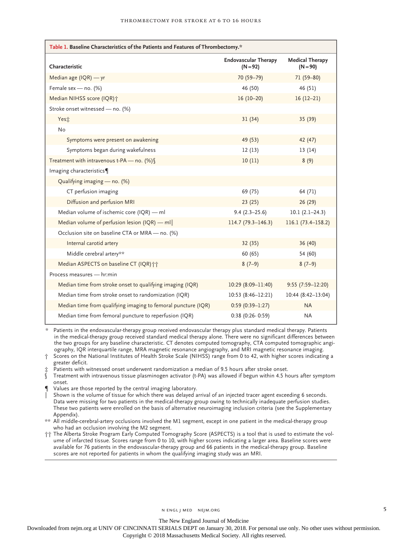| Table 1. Baseline Characteristics of the Patients and Features of Thrombectomy.* |                                           |                                      |  |  |  |
|----------------------------------------------------------------------------------|-------------------------------------------|--------------------------------------|--|--|--|
| Characteristic                                                                   | <b>Endovascular Therapy</b><br>$(N = 92)$ | <b>Medical Therapy</b><br>$(N = 90)$ |  |  |  |
| Median age (IQR) - yr                                                            | 70 (59-79)                                | 71 (59-80)                           |  |  |  |
| Female sex - no. (%)                                                             | 46 (50)                                   | 46 (51)                              |  |  |  |
| Median NIHSS score (IQR)+                                                        | $16(10-20)$                               | $16(12-21)$                          |  |  |  |
| Stroke onset witnessed - no. (%)                                                 |                                           |                                      |  |  |  |
| Yest                                                                             | 31(34)                                    | 35(39)                               |  |  |  |
| No                                                                               |                                           |                                      |  |  |  |
| Symptoms were present on awakening                                               | 49 (53)                                   | 42 (47)                              |  |  |  |
| Symptoms began during wakefulness                                                | 12(13)                                    | 13(14)                               |  |  |  |
| Treatment with intravenous t-PA - no. $(\%)$                                     | 10(11)                                    | 8(9)                                 |  |  |  |
| Imaging characteristics                                                          |                                           |                                      |  |  |  |
| Qualifying imaging - no. (%)                                                     |                                           |                                      |  |  |  |
| CT perfusion imaging                                                             | 69 (75)                                   | 64 (71)                              |  |  |  |
| Diffusion and perfusion MRI                                                      | 23(25)                                    | 26(29)                               |  |  |  |
| Median volume of ischemic core (IQR) - ml                                        | $9.4(2.3-25.6)$                           | $10.1(2.1-24.3)$                     |  |  |  |
| Median volume of perfusion lesion (IQR) $-$ ml                                   | $114.7(79.3 - 146.3)$                     | 116.1 (73.4-158.2)                   |  |  |  |
| Occlusion site on baseline CTA or MRA - no. (%)                                  |                                           |                                      |  |  |  |
| Internal carotid artery                                                          | 32(35)                                    | 36(40)                               |  |  |  |
| Middle cerebral artery**                                                         | 60 (65)                                   | 54 (60)                              |  |  |  |
| Median ASPECTS on baseline CT (IQR) ++                                           | $8(7-9)$                                  | $8(7-9)$                             |  |  |  |
| Process measures - hr:min                                                        |                                           |                                      |  |  |  |
| Median time from stroke onset to qualifying imaging (IQR)                        | $10:29(8:09-11:40)$                       | $9:55(7:59-12:20)$                   |  |  |  |
| Median time from stroke onset to randomization (IQR)                             | $10:53(8:46-12:21)$                       | 10:44 (8:42-13:04)                   |  |  |  |
| Median time from qualifying imaging to femoral puncture (IQR)                    | $0:59(0:39-1:27)$                         | <b>NA</b>                            |  |  |  |
| Median time from femoral puncture to reperfusion (IQR)                           | $0:38$ (0:26-0:59)                        | <b>NA</b>                            |  |  |  |

\* Patients in the endovascular-therapy group received endovascular therapy plus standard medical therapy. Patients in the medical-therapy group received standard medical therapy alone. There were no significant differences between the two groups for any baseline characteristic. CT denotes computed tomography, CTA computed tomographic angiography, IQR interquartile range, MRA magnetic resonance angiography, and MRI magnetic resonance imaging.

Scores on the National Institutes of Health Stroke Scale (NIHSS) range from 0 to 42, with higher scores indicating a greater deficit.

Patients with witnessed onset underwent randomization a median of 9.5 hours after stroke onset.

§ Treatment with intravenous tissue plasminogen activator (t-PA) was allowed if begun within 4.5 hours after symptom onset.

Values are those reported by the central imaging laboratory.

Shown is the volume of tissue for which there was delayed arrival of an injected tracer agent exceeding 6 seconds. Data were missing for two patients in the medical-therapy group owing to technically inadequate perfusion studies. These two patients were enrolled on the basis of alternative neuroimaging inclusion criteria (see the Supplementary Appendix).

\*\* All middle-cerebral-artery occlusions involved the M1 segment, except in one patient in the medical-therapy group who had an occlusion involving the M2 segment.

†† The Alberta Stroke Program Early Computed Tomography Score (ASPECTS) is a tool that is used to estimate the volume of infarcted tissue. Scores range from 0 to 10, with higher scores indicating a larger area. Baseline scores were available for 76 patients in the endovascular-therapy group and 66 patients in the medical-therapy group. Baseline scores are not reported for patients in whom the qualifying imaging study was an MRI.

The New England Journal of Medicine

Downloaded from nejm.org at UNIV OF CINCINNATI SERIALS DEPT on January 30, 2018. For personal use only. No other uses without permission.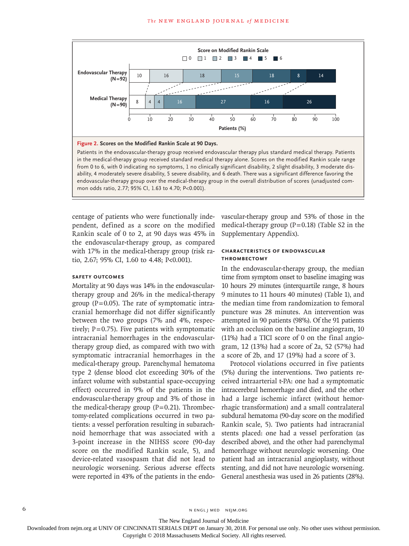

Patients in the endovascular-therapy group received endovascular therapy plus standard medical therapy. Patients in the medical-therapy group received standard medical therapy alone. Scores on the modified Rankin scale range from 0 to 6, with 0 indicating no symptoms, 1 no clinically significant disability, 2 slight disability, 3 moderate disability, 4 moderately severe disability, 5 severe disability, and 6 death. There was a significant difference favoring the endovascular-therapy group over the medical-therapy group in the overall distribution of scores (unadjusted common odds ratio, 2.77; 95% CI, 1.63 to 4.70; P<0.001).

centage of patients who were functionally independent, defined as a score on the modified Rankin scale of 0 to 2, at 90 days was 45% in the endovascular-therapy group, as compared with 17% in the medical-therapy group (risk ratio, 2.67; 95% CI, 1.60 to 4.48; P<0.001).

#### **Safety Outcomes**

Mortality at 90 days was 14% in the endovasculartherapy group and 26% in the medical-therapy group ( $P=0.05$ ). The rate of symptomatic intracranial hemorrhage did not differ significantly between the two groups (7% and 4%, respectively;  $P=0.75$ ). Five patients with symptomatic intracranial hemorrhages in the endovasculartherapy group died, as compared with two with symptomatic intracranial hemorrhages in the medical-therapy group. Parenchymal hematoma type 2 (dense blood clot exceeding 30% of the infarct volume with substantial space-occupying effect) occurred in 9% of the patients in the endovascular-therapy group and 3% of those in the medical-therapy group  $(P=0.21)$ . Thrombectomy-related complications occurred in two patients: a vessel perforation resulting in subarachnoid hemorrhage that was associated with a 3-point increase in the NIHSS score (90-day score on the modified Rankin scale, 5), and device-related vasospasm that did not lead to neurologic worsening. Serious adverse effects were reported in 43% of the patients in the endovascular-therapy group and 53% of those in the medical-therapy group  $(P=0.18)$  (Table S2 in the Supplementary Appendix).

#### **Characteristics of Endovascular Thrombectomy**

In the endovascular-therapy group, the median time from symptom onset to baseline imaging was 10 hours 29 minutes (interquartile range, 8 hours 9 minutes to 11 hours 40 minutes) (Table 1), and the median time from randomization to femoral puncture was 28 minutes. An intervention was attempted in 90 patients (98%). Of the 91 patients with an occlusion on the baseline angiogram, 10 (11%) had a TICI score of 0 on the final angiogram, 12 (13%) had a score of 2a, 52 (57%) had a score of 2b, and 17 (19%) had a score of 3.

Protocol violations occurred in five patients (5%) during the interventions. Two patients received intraarterial t-PA: one had a symptomatic intracerebral hemorrhage and died, and the other had a large ischemic infarct (without hemorrhagic transformation) and a small contralateral subdural hematoma (90-day score on the modified Rankin scale, 5). Two patients had intracranial stents placed: one had a vessel perforation (as described above), and the other had parenchymal hemorrhage without neurologic worsening. One patient had an intracranial angioplasty, without stenting, and did not have neurologic worsening. General anesthesia was used in 26 patients (28%).

The New England Journal of Medicine

Downloaded from nejm.org at UNIV OF CINCINNATI SERIALS DEPT on January 30, 2018. For personal use only. No other uses without permission.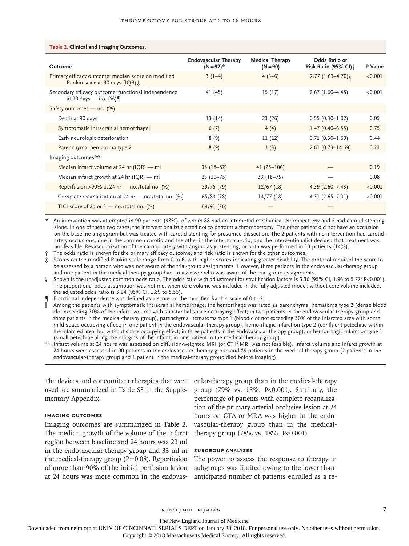| Table 2. Clinical and Imaging Outcomes.                                              |                                               |                                      |                                                       |         |  |  |  |  |
|--------------------------------------------------------------------------------------|-----------------------------------------------|--------------------------------------|-------------------------------------------------------|---------|--|--|--|--|
| Outcome                                                                              | <b>Endovascular Therapy</b><br>$(N = 92)^{*}$ | <b>Medical Therapy</b><br>$(N = 90)$ | Odds Ratio or<br>Risk Ratio (95% CI) $\dot{\uparrow}$ | P Value |  |  |  |  |
| Primary efficacy outcome: median score on modified<br>Rankin scale at 90 days (IQR): | $3(1-4)$                                      | $4(3-6)$                             | $2.77(1.63-4.70)$                                     | < 0.001 |  |  |  |  |
| Secondary efficacy outcome: functional independence<br>at 90 days — no. $(\%) \P$    | 41 (45)                                       | 15(17)                               | $2.67(1.60-4.48)$                                     | < 0.001 |  |  |  |  |
| Safety outcomes - no. (%)                                                            |                                               |                                      |                                                       |         |  |  |  |  |
| Death at 90 days                                                                     | 13 (14)                                       | 23 (26)                              | $0.55(0.30-1.02)$                                     | 0.05    |  |  |  |  |
| Symptomatic intracranial hemorrhage                                                  | 6(7)                                          | 4(4)                                 | $1.47(0.40 - 6.55)$                                   | 0.75    |  |  |  |  |
| Early neurologic deterioration                                                       | 8(9)                                          | 11(12)                               | $0.71(0.30-1.69)$                                     | 0.44    |  |  |  |  |
| Parenchymal hematoma type 2                                                          | 8(9)                                          | 3(3)                                 | $2.61(0.73 - 14.69)$                                  | 0.21    |  |  |  |  |
| Imaging outcomes**                                                                   |                                               |                                      |                                                       |         |  |  |  |  |
| Median infarct volume at 24 hr (IQR) - ml                                            | $35(18-82)$                                   | $41(25-106)$                         |                                                       | 0.19    |  |  |  |  |
| Median infarct growth at 24 hr (IQR) $-$ ml                                          | $23(10-75)$                                   | $33(18-75)$                          |                                                       | 0.08    |  |  |  |  |
| Reperfusion >90% at 24 hr - no./total no. (%)                                        | 59/75 (79)                                    | 12/67(18)                            | $4.39(2.60 - 7.43)$                                   | < 0.001 |  |  |  |  |
| Complete recanalization at 24 hr - no./total no. (%)                                 | 65/83 (78)                                    | 14/77(18)                            | $4.31(2.65 - 7.01)$                                   | < 0.001 |  |  |  |  |
| TICI score of 2b or $3$ - no./total no. (%)                                          | 69/91 (76)                                    |                                      |                                                       |         |  |  |  |  |

\* An intervention was attempted in 90 patients (98%), of whom 88 had an attempted mechanical thrombectomy and 2 had carotid stenting alone. In one of these two cases, the interventionalist elected not to perform a thrombectomy. The other patient did not have an occlusion on the baseline angiogram but was treated with carotid stenting for presumed dissection. The 2 patients with no intervention had carotidartery occlusions, one in the common carotid and the other in the internal carotid, and the interventionalist decided that treatment was not feasible. Revascularization of the carotid artery with angioplasty, stenting, or both was performed in 13 patients (14%).

The odds ratio is shown for the primary efficacy outcome, and risk ratio is shown for the other outcomes.

Scores on the modified Rankin scale range from 0 to 6, with higher scores indicating greater disability. The protocol required the score to be assessed by a person who was not aware of the trial-group assignments. However, three patients in the endovascular-therapy group and one patient in the medical-therapy group had an assessor who was aware of the trial-group assignments.

§ Shown is the unadjusted common odds ratio. The odds ratio with adjustment for stratification factors is 3.36 (95% CI, 1.96 to 5.77; P<0.001). The proportional-odds assumption was not met when core volume was included in the fully adjusted model; without core volume included, the adjusted odds ratio is 3.24 (95% CI, 1.89 to 5.55).

Functional independence was defined as a score on the modified Rankin scale of 0 to 2.

‖ Among the patients with symptomatic intracranial hemorrhage, the hemorrhage was rated as parenchymal hematoma type 2 (dense blood clot exceeding 30% of the infarct volume with substantial space-occupying effect; in two patients in the endovascular-therapy group and three patients in the medical-therapy group), parenchymal hematoma type 1 (blood clot not exceeding 30% of the infarcted area with some mild space-occupying effect; in one patient in the endovascular-therapy group), hemorrhagic infarction type 2 (confluent petechiae within the infarcted area, but without space-occupying effect; in three patients in the endovascular-therapy group), or hemorrhagic infarction type 1 (small petechiae along the margins of the infarct; in one patient in the medical-therapy group).

\*\* Infarct volume at 24 hours was assessed on diffusion-weighted MRI (or CT if MRI was not feasible). Infarct volume and infarct growth at 24 hours were assessed in 90 patients in the endovascular-therapy group and 89 patients in the medical-therapy group (2 patients in the endovascular-therapy group and 1 patient in the medical-therapy group died before imaging).

used are summarized in Table S3 in the Supplementary Appendix.

## **Imaging Outcomes**

The median growth of the volume of the infarct therapy group (78% vs. 18%, P<0.001). region between baseline and 24 hours was 23 ml in the endovascular-therapy group and 33 ml in **Subgroup Analyses** the medical-therapy group  $(P=0.08)$ . Reperfusion The power to assess the response to therapy in of more than 90% of the initial perfusion lesion at 24 hours was more common in the endovas-

The devices and concomitant therapies that were cular-therapy group than in the medical-therapy Imaging outcomes are summarized in Table 2. vascular-therapy group than in the medicalgroup (79% vs. 18%, P<0.001). Similarly, the percentage of patients with complete recanalization of the primary arterial occlusive lesion at 24 hours on CTA or MRA was higher in the endo-

subgroups was limited owing to the lower-thananticipated number of patients enrolled as a re-

n engl j med nejm.org 7

The New England Journal of Medicine

Downloaded from nejm.org at UNIV OF CINCINNATI SERIALS DEPT on January 30, 2018. For personal use only. No other uses without permission.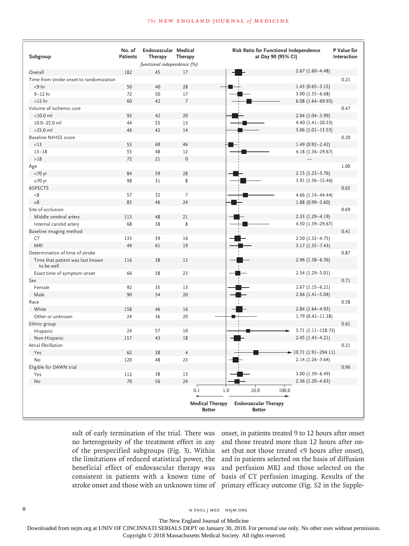#### **The NEW ENGLAND JOURNAL of MEDICINE**

| Subgroup                                       | No. of<br><b>Patients</b> | Endovascular Medical<br>Therapy | Therapy        | Risk Ratio for Functional Independence<br>at Day 90 (95% CI) | P Value for<br>Interaction |
|------------------------------------------------|---------------------------|---------------------------------|----------------|--------------------------------------------------------------|----------------------------|
|                                                |                           | functional independence (%)     |                |                                                              |                            |
| Overall                                        | 182                       | 45                              | 17             | $2.67(1.60-4.48)$                                            |                            |
| Time from stroke onset to randomization        |                           |                                 |                |                                                              | 0.21                       |
| $<$ 9 hr                                       | 50                        | 40                              | 28             | $1.43(0.65 - 3.15)$                                          |                            |
| $9-12$ hr                                      | 72                        | 50                              | 17             | $3.00(1.35 - 6.68)$                                          |                            |
| $>12$ hr                                       | 60                        | 42                              | $\overline{7}$ | $6.08(1.64 - 69.93)$                                         |                            |
| Volume of ischemic core                        |                           |                                 |                |                                                              | 0.47                       |
| $<$ 10.0 $ml$                                  | 92                        | 42                              | 20             | $2.04(1.04-3.99)$                                            |                            |
| 10.0-25.0 ml                                   | 44                        | 55                              | 13             | $4.40(1.41-20.33)$                                           |                            |
| $>25.0$ ml                                     | 46                        | 42                              | 14             | $3.06(1.01-13.53)$                                           |                            |
| <b>Baseline NIHSS score</b>                    |                           |                                 |                |                                                              | 0.20                       |
| <13                                            | 55                        | 69                              | 46             | $1.49(0.92 - 2.42)$                                          |                            |
| $13 - 18$                                      | 55                        | 48                              | 12             | 4.18 (1.36-29.67)                                            |                            |
| >18                                            | 72                        | 21                              | $\Omega$       |                                                              |                            |
| Age                                            |                           |                                 |                |                                                              | 1.00                       |
| $<$ 70 yr                                      | 84                        | 59                              | 28             | $2.15(1.23-3.76)$                                            |                            |
| $\geq 70$ yr                                   | 98                        | 31                              | 8              | $3.91(1.36 - 15.46)$                                         |                            |
| <b>ASPECTS</b>                                 |                           |                                 |                |                                                              | 0.65                       |
| < 8                                            | 57                        | 32                              | $\overline{7}$ |                                                              |                            |
| $\geq 8$                                       | 85                        | 46                              | 24             | $4.66$ (1.14-44.44)                                          |                            |
|                                                |                           |                                 |                | $1.88(0.99 - 3.60)$                                          |                            |
| Site of occlusion                              |                           |                                 |                |                                                              | 0.69                       |
| Middle cerebral artery                         | 113                       | 48                              | 21             | $2.33(1.29 - 4.19)$                                          |                            |
| Internal carotid artery                        | 68                        | 38                              | 8              | 4.50 (1.39-29.67)                                            |                            |
| Baseline imaging method                        |                           |                                 |                |                                                              | 0.41                       |
| <b>CT</b>                                      | 133                       | 39                              | 16             | $2.50(1.32 - 4.75)$                                          |                            |
| <b>MRI</b>                                     | 49                        | 61                              | 19             | $3.17(1.35 - 7.43)$                                          |                            |
| Determination of time of stroke                |                           |                                 |                |                                                              | 0.87                       |
| Time that patient was last known<br>to be well | 116                       | 38                              | 13             | $2.96(1.38 - 6.36)$                                          |                            |
| Exact time of symptom onset                    | 66                        | 58                              | 23             | $2.54(1.29 - 5.01)$                                          |                            |
| Sex                                            |                           |                                 |                |                                                              | 0.71                       |
| Female                                         | 92                        | 35                              | 13             | $2.67(1.15-6.21)$                                            |                            |
| Male                                           | 90                        | 54                              | 20             | $2.66$ (1.41-5.04)                                           |                            |
| Race                                           |                           |                                 |                |                                                              | 0.58                       |
| White                                          | 158                       | 46                              | 16             | $2.84(1.64 - 4.93)$                                          |                            |
| Other or unknown                               | 24                        | 36                              | 20             | $1.79(0.42 - 11.38)$                                         |                            |
| Ethnic group                                   |                           |                                 |                |                                                              | 0.61                       |
| Hispanic                                       | 24                        | 57                              | 10             |                                                              | $5.71(1.11 - 158.73)$      |
| Non-Hispanic                                   | 157                       | 43                              | 18             | $2.45(1.43 - 4.21)$                                          |                            |
| Atrial fibrillation                            |                           |                                 |                |                                                              | 0.21                       |
| Yes                                            | 62                        | 38                              | $\overline{4}$ | $-10.71(1.91-294.11)$                                        |                            |
| No                                             | 120                       | 48                              | 23             | $2.14(1.26-3.64)$                                            |                            |
| Eligible for DAWN trial                        |                           |                                 |                |                                                              | 0.96                       |
| Yes                                            | 112                       | 38                              | 13             | $3.00(1.39 - 6.49)$                                          |                            |
| No                                             | 70                        | 56                              | 24             | 2.36 (1.20-4.63)                                             |                            |
|                                                |                           |                                 |                |                                                              |                            |
|                                                |                           |                                 | 0.1            | 1.0<br>10.0<br>100.0                                         |                            |
|                                                |                           |                                 |                | <b>Medical Therapy</b><br><b>Endovascular Therapy</b>        |                            |
|                                                |                           |                                 |                | <b>Better</b><br><b>Better</b>                               |                            |

sult of early termination of the trial. There was onset, in patients treated 9 to 12 hours after onset no heterogeneity of the treatment effect in any and those treated more than 12 hours after onof the prespecified subgroups (Fig. 3). Within set (but not those treated <9 hours after onset), the limitations of reduced statistical power, the and in patients selected on the basis of diffusion beneficial effect of endovascular therapy was and perfusion MRI and those selected on the consistent in patients with a known time of basis of CT perfusion imaging. Results of the stroke onset and those with an unknown time of primary efficacy outcome (Fig. S2 in the Supple-

8 N ENGL J MED NEJM.ORG

The New England Journal of Medicine

Downloaded from nejm.org at UNIV OF CINCINNATI SERIALS DEPT on January 30, 2018. For personal use only. No other uses without permission.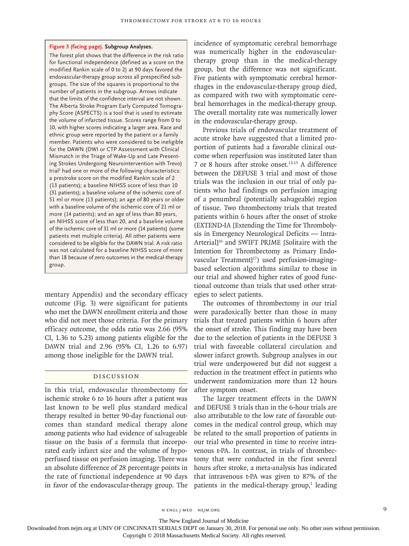#### **Figure 3 (facing page). Subgroup Analyses.**

The forest plot shows that the difference in the risk ratio for functional independence (defined as a score on the modified Rankin scale of 0 to 2) at 90 days favored the endovascular-therapy group across all prespecified subgroups. The size of the squares is proportional to the number of patients in the subgroup. Arrows indicate that the limits of the confidence interval are not shown. The Alberta Stroke Program Early Computed Tomography Score (ASPECTS) is a tool that is used to estimate the volume of infarcted tissue. Scores range from 0 to 10, with higher scores indicating a larger area. Race and ethnic group were reported by the patient or a family member. Patients who were considered to be ineligible for the DAWN (DWI or CTP Assessment with Clinical Mismatch in the Triage of Wake-Up and Late Presenting Strokes Undergoing Neurointervention with Trevo) trial<sup>3</sup> had one or more of the following characteristics: a prestroke score on the modified Rankin scale of 2 (13 patients); a baseline NIHSS score of less than 10 (31 patients); a baseline volume of the ischemic core of 51 ml or more (13 patients); an age of 80 years or older with a baseline volume of the ischemic core of 21 ml or more (14 patients); and an age of less than 80 years, an NIHSS score of less than 20, and a baseline volume of the ischemic core of 31 ml or more (14 patients) (some patients met multiple criteria). All other patients were considered to be eligible for the DAWN trial. A risk ratio was not calculated for a baseline NIHSS score of more than 18 because of zero outcomes in the medical-therapy group.

mentary Appendix) and the secondary efficacy outcome (Fig. 3) were significant for patients who met the DAWN enrollment criteria and those who did not meet those criteria. For the primary efficacy outcome, the odds ratio was 2.66 (95% CI, 1.36 to 5.23) among patients eligible for the DAWN trial and 2.96 (95% CI, 1.26 to 6.97) among those ineligible for the DAWN trial.

#### Discussion

In this trial, endovascular thrombectomy for ischemic stroke 6 to 16 hours after a patient was last known to be well plus standard medical therapy resulted in better 90-day functional outcomes than standard medical therapy alone among patients who had evidence of salvageable tissue on the basis of a formula that incorporated early infarct size and the volume of hypoperfused tissue on perfusion imaging. There was an absolute difference of 28 percentage points in the rate of functional independence at 90 days in favor of the endovascular-therapy group. The

incidence of symptomatic cerebral hemorrhage was numerically higher in the endovasculartherapy group than in the medical-therapy group, but the difference was not significant. Five patients with symptomatic cerebral hemorrhages in the endovascular-therapy group died, as compared with two with symptomatic cerebral hemorrhages in the medical-therapy group. The overall mortality rate was numerically lower in the endovascular-therapy group.

Previous trials of endovascular treatment of acute stroke have suggested that a limited proportion of patients had a favorable clinical outcome when reperfusion was instituted later than 7 or 8 hours after stroke onset.13-15 A difference between the DEFUSE 3 trial and most of those trials was the inclusion in our trial of only patients who had findings on perfusion imaging of a penumbral (potentially salvageable) region of tissue. Two thrombectomy trials that treated patients within 6 hours after the onset of stroke (EXTEND-IA [Extending the Time for Thrombolysis in Emergency Neurological Deficits — Intra-Arterial]16 and SWIFT PRIME [Solitaire with the Intention for Thrombectomy as Primary Endovascular Treatment]<sup>17</sup>) used perfusion-imagingbased selection algorithms similar to those in our trial and showed higher rates of good functional outcome than trials that used other strategies to select patients.

The outcomes of thrombectomy in our trial were paradoxically better than those in many trials that treated patients within 6 hours after the onset of stroke. This finding may have been due to the selection of patients in the DEFUSE 3 trial with favorable collateral circulation and slower infarct growth. Subgroup analyses in our trial were underpowered but did not suggest a reduction in the treatment effect in patients who underwent randomization more than 12 hours after symptom onset.

The larger treatment effects in the DAWN and DEFUSE 3 trials than in the 6-hour trials are also attributable to the low rate of favorable outcomes in the medical control group, which may be related to the small proportion of patients in our trial who presented in time to receive intravenous t-PA. In contrast, in trials of thrombectomy that were conducted in the first several hours after stroke, a meta-analysis has indicated that intravenous t-PA was given to 87% of the patients in the medical-therapy group,<sup>1</sup> leading

n engl j med nejm.org 9

The New England Journal of Medicine

Downloaded from nejm.org at UNIV OF CINCINNATI SERIALS DEPT on January 30, 2018. For personal use only. No other uses without permission.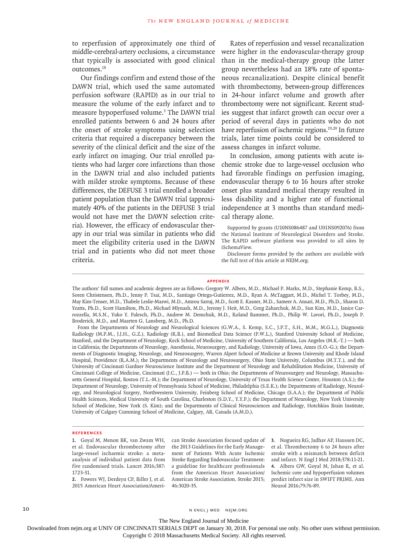to reperfusion of approximately one third of middle-cerebral-artery occlusions, a circumstance that typically is associated with good clinical outcomes.18

Our findings confirm and extend those of the DAWN trial, which used the same automated perfusion software (RAPID) as in our trial to measure the volume of the early infarct and to measure hypoperfused volume.<sup>3</sup> The DAWN trial enrolled patients between 6 and 24 hours after the onset of stroke symptoms using selection criteria that required a discrepancy between the severity of the clinical deficit and the size of the early infarct on imaging. Our trial enrolled patients who had larger core infarctions than those in the DAWN trial and also included patients with milder stroke symptoms. Because of these differences, the DEFUSE 3 trial enrolled a broader patient population than the DAWN trial (approximately 40% of the patients in the DEFUSE 3 trial would not have met the DAWN selection criteria). However, the efficacy of endovascular therapy in our trial was similar in patients who did meet the eligibility criteria used in the DAWN trial and in patients who did not meet those criteria.

Rates of reperfusion and vessel recanalization were higher in the endovascular-therapy group than in the medical-therapy group (the latter group nevertheless had an 18% rate of spontaneous recanalization). Despite clinical benefit with thrombectomy, between-group differences in 24-hour infarct volume and growth after thrombectomy were not significant. Recent studies suggest that infarct growth can occur over a period of several days in patients who do not have reperfusion of ischemic regions.<sup>19,20</sup> In future trials, later time points could be considered to assess changes in infarct volume.

In conclusion, among patients with acute ischemic stroke due to large-vessel occlusion who had favorable findings on perfusion imaging, endovascular therapy 6 to 16 hours after stroke onset plus standard medical therapy resulted in less disability and a higher rate of functional independence at 3 months than standard medical therapy alone.

Disclosure forms provided by the authors are available with the full text of this article at NEJM.org.

#### **Appendix**

From the Departments of Neurology and Neurological Sciences (G.W.A., S. Kemp, S.C., J.P.T., S.H., M.M., M.G.L.), Diagnostic Radiology (M.P.M., J.J.H., G.Z.), Radiology (R.B.), and Biomedical Data Science (P.W.L.), Stanford University School of Medicine, Stanford, and the Department of Neurology, Keck School of Medicine, University of Southern California, Los Angeles (M.K.-T.) — both in California; the Departments of Neurology, Anesthesia, Neurosurgery, and Radiology, University of Iowa, Ames (S.O.-G.); the Departments of Diagnostic Imaging, Neurology, and Neurosurgery, Warren Alpert School of Medicine at Brown University and Rhode Island Hospital, Providence (R.A.M.); the Departments of Neurology and Neurosurgery, Ohio State University, Columbus (M.T.T.), and the University of Cincinnati Gardner Neuroscience Institute and the Department of Neurology and Rehabilitation Medicine, University of Cincinnati College of Medicine, Cincinnati (J.C., J.P.B.) — both in Ohio; the Departments of Neurosurgery and Neurology, Massachusetts General Hospital, Boston (T.L.-M.); the Department of Neurology, University of Texas Health Science Center, Houston (A.S.); the Department of Neurology, University of Pennsylvania School of Medicine, Philadelphia (S.E.K.); the Departments of Radiology, Neurology, and Neurological Surgery, Northwestern University, Feinberg School of Medicine, Chicago (S.A.A.); the Department of Public Health Sciences, Medical University of South Carolina, Charleston (S.D.Y., Y.Y.P.); the Department of Neurology, New York University School of Medicine, New York (S. Kim); and the Departments of Clinical Neurosciences and Radiology, Hotchkiss Brain Institute, University of Calgary Cumming School of Medicine, Calgary, AB, Canada (A.M.D.).

#### **References**

**1.** Goyal M, Menon BK, van Zwam WH, et al. Endovascular thrombectomy after large-vessel ischaemic stroke: a metaanalysis of individual patient data from five randomised trials. Lancet 2016;387: 1723-31.

**2.** Powers WJ, Derdeyn CP, Biller J, et al. 2015 American Heart Association/Ameri-

can Stroke Association focused update of the 2013 Guidelines for the Early Management of Patients With Acute Ischemic Stroke Regarding Endovascular Treatment: a guideline for healthcare professionals from the American Heart Association/ American Stroke Association. Stroke 2015; 46:3020-35.

**3.** Nogueira RG, Jadhav AP, Haussen DC, et al. Thrombectomy 6 to 24 hours after stroke with a mismatch between deficit and infarct. N Engl J Med 2018;378:11-21. **4.** Albers GW, Goyal M, Jahan R, et al. Ischemic core and hypoperfusion volumes predict infarct size in SWIFT PRIME. Ann Neurol 2016;79:76-89.

10 N ENGL J MED NEJM.ORG

The New England Journal of Medicine

Downloaded from nejm.org at UNIV OF CINCINNATI SERIALS DEPT on January 30, 2018. For personal use only. No other uses without permission.

Supported by grants (U10NS086487 and U01NS092076) from the National Institute of Neurological Disorders and Stroke. The RAPID software platform was provided to all sites by iSchemaView.

The authors' full names and academic degrees are as follows: Gregory W. Albers, M.D., Michael P. Marks, M.D., Stephanie Kemp, B.S., Soren Christensen, Ph.D., Jenny P. Tsai, M.D., Santiago Ortega-Gutierrez, M.D., Ryan A. McTaggart, M.D., Michel T. Torbey, M.D., May Kim-Tenser, M.D., Thabele Leslie-Mazwi, M.D., Amrou Sarraj, M.D., Scott E. Kasner, M.D., Sameer A. Ansari, M.D., Ph.D., Sharon D. Yeatts, Ph.D., Scott Hamilton, Ph.D., Michael Mlynash, M.D., Jeremy J. Heit, M.D., Greg Zaharchuk, M.D., Sun Kim, M.D., Janice Carrozzella, M.S.N., Yuko Y. Palesch, Ph.D., Andrew M. Demchuk, M.D., Roland Bammer, Ph.D., Philip W. Lavori, Ph.D., Joseph P. Broderick, M.D., and Maarten G. Lansberg, M.D., Ph.D.